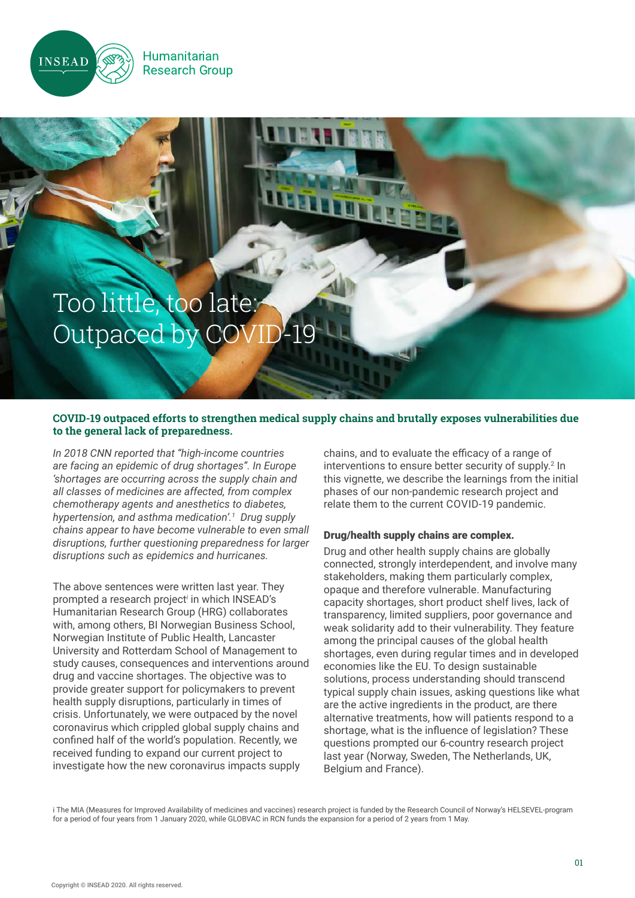

**Humanitarian Research Group** 

# Too little, too late: Outpaced by COV

## **COVID-19 outpaced efforts to strengthen medical supply chains and brutally exposes vulnerabilities due to the general lack of preparedness.**

*In 2018 CNN reported that "high-income countries are facing an epidemic of drug shortages". In Europe 'shortages are occurring across the supply chain and all classes of medicines are affected, from complex chemotherapy agents and anesthetics to diabetes, hypertension, and asthma medication'.1 Drug supply chains appear to have become vulnerable to even small disruptions, further questioning preparedness for larger disruptions such as epidemics and hurricanes.* 

The above sentences were written last year. They prompted a research project*<sup>i</sup>* in which INSEAD's Humanitarian Research Group (HRG) collaborates with, among others, BI Norwegian Business School, Norwegian Institute of Public Health, Lancaster University and Rotterdam School of Management to study causes, consequences and interventions around drug and vaccine shortages. The objective was to provide greater support for policymakers to prevent health supply disruptions, particularly in times of crisis. Unfortunately, we were outpaced by the novel coronavirus which crippled global supply chains and confined half of the world's population. Recently, we received funding to expand our current project to investigate how the new coronavirus impacts supply

chains, and to evaluate the efficacy of a range of interventions to ensure better security of supply.<sup>2</sup> In this vignette, we describe the learnings from the initial phases of our non-pandemic research project and relate them to the current COVID-19 pandemic.

## Drug/health supply chains are complex.

Drug and other health supply chains are globally connected, strongly interdependent, and involve many stakeholders, making them particularly complex, opaque and therefore vulnerable. Manufacturing capacity shortages, short product shelf lives, lack of transparency, limited suppliers, poor governance and weak solidarity add to their vulnerability. They feature among the principal causes of the global health shortages, even during regular times and in developed economies like the EU. To design sustainable solutions, process understanding should transcend typical supply chain issues, asking questions like what are the active ingredients in the product, are there alternative treatments, how will patients respond to a shortage, what is the influence of legislation? These questions prompted our 6-country research project last year (Norway, Sweden, The Netherlands, UK, Belgium and France).

i The MIA (Measures for Improved Availability of medicines and vaccines) research project is funded by the Research Council of Norway's HELSEVEL-program for a period of four years from 1 January 2020, while GLOBVAC in RCN funds the expansion for a period of 2 years from 1 May.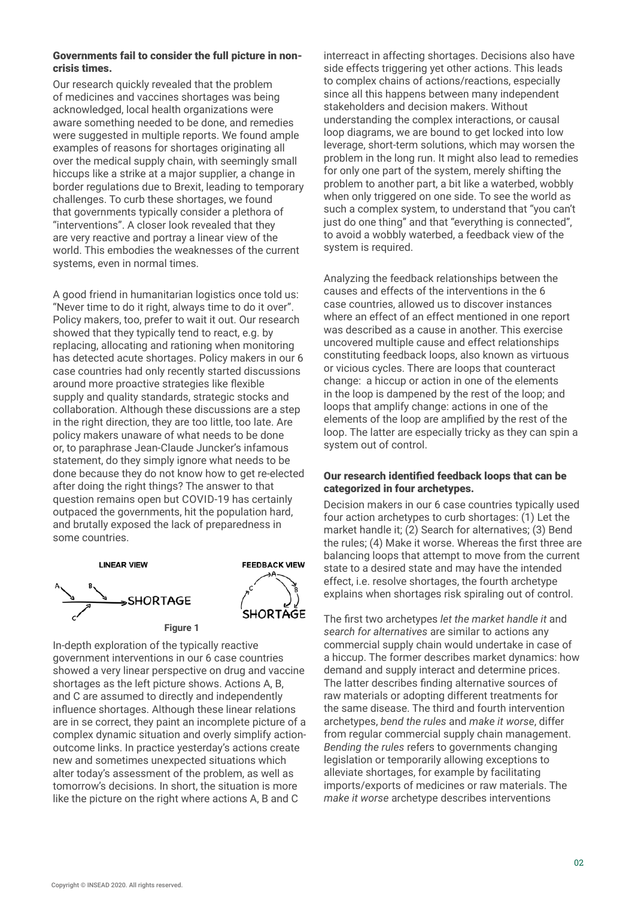#### Governments fail to consider the full picture in noncrisis times.

Our research quickly revealed that the problem of medicines and vaccines shortages was being acknowledged, local health organizations were aware something needed to be done, and remedies were suggested in multiple reports. We found ample examples of reasons for shortages originating all over the medical supply chain, with seemingly small hiccups like a strike at a major supplier, a change in border regulations due to Brexit, leading to temporary challenges. To curb these shortages, we found that governments typically consider a plethora of "interventions". A closer look revealed that they are very reactive and portray a linear view of the world. This embodies the weaknesses of the current systems, even in normal times.

A good friend in humanitarian logistics once told us: "Never time to do it right, always time to do it over". Policy makers, too, prefer to wait it out. Our research showed that they typically tend to react, e.g. by replacing, allocating and rationing when monitoring has detected acute shortages. Policy makers in our 6 case countries had only recently started discussions around more proactive strategies like flexible supply and quality standards, strategic stocks and collaboration. Although these discussions are a step in the right direction, they are too little, too late. Are policy makers unaware of what needs to be done or, to paraphrase Jean-Claude Juncker's infamous statement, do they simply ignore what needs to be done because they do not know how to get re-elected after doing the right things? The answer to that question remains open but COVID-19 has certainly outpaced the governments, hit the population hard, and brutally exposed the lack of preparedness in some countries.



In-depth exploration of the typically reactive government interventions in our 6 case countries showed a very linear perspective on drug and vaccine shortages as the left picture shows. Actions A, B, and C are assumed to directly and independently influence shortages. Although these linear relations are in se correct, they paint an incomplete picture of a complex dynamic situation and overly simplify actionoutcome links. In practice yesterday's actions create new and sometimes unexpected situations which alter today's assessment of the problem, as well as tomorrow's decisions. In short, the situation is more like the picture on the right where actions A, B and C

interreact in affecting shortages. Decisions also have side effects triggering yet other actions. This leads to complex chains of actions/reactions, especially since all this happens between many independent stakeholders and decision makers. Without understanding the complex interactions, or causal loop diagrams, we are bound to get locked into low leverage, short-term solutions, which may worsen the problem in the long run. It might also lead to remedies for only one part of the system, merely shifting the problem to another part, a bit like a waterbed, wobbly when only triggered on one side. To see the world as such a complex system, to understand that "you can't just do one thing" and that "everything is connected", to avoid a wobbly waterbed, a feedback view of the system is required.

Analyzing the feedback relationships between the causes and effects of the interventions in the 6 case countries, allowed us to discover instances where an effect of an effect mentioned in one report was described as a cause in another. This exercise uncovered multiple cause and effect relationships constituting feedback loops, also known as virtuous or vicious cycles. There are loops that counteract change: a hiccup or action in one of the elements in the loop is dampened by the rest of the loop; and loops that amplify change: actions in one of the elements of the loop are amplified by the rest of the loop. The latter are especially tricky as they can spin a system out of control.

#### Our research identified feedback loops that can be categorized in four archetypes.

Decision makers in our 6 case countries typically used four action archetypes to curb shortages: (1) Let the market handle it; (2) Search for alternatives; (3) Bend the rules; (4) Make it worse. Whereas the first three are balancing loops that attempt to move from the current state to a desired state and may have the intended effect, i.e. resolve shortages, the fourth archetype explains when shortages risk spiraling out of control.

The first two archetypes *let the market handle it* and *search for alternatives* are similar to actions any commercial supply chain would undertake in case of a hiccup. The former describes market dynamics: how demand and supply interact and determine prices. The latter describes finding alternative sources of raw materials or adopting different treatments for the same disease. The third and fourth intervention archetypes, *bend the rules* and *make it worse*, differ from regular commercial supply chain management. *Bending the rules* refers to governments changing legislation or temporarily allowing exceptions to alleviate shortages, for example by facilitating imports/exports of medicines or raw materials. The *make it worse* archetype describes interventions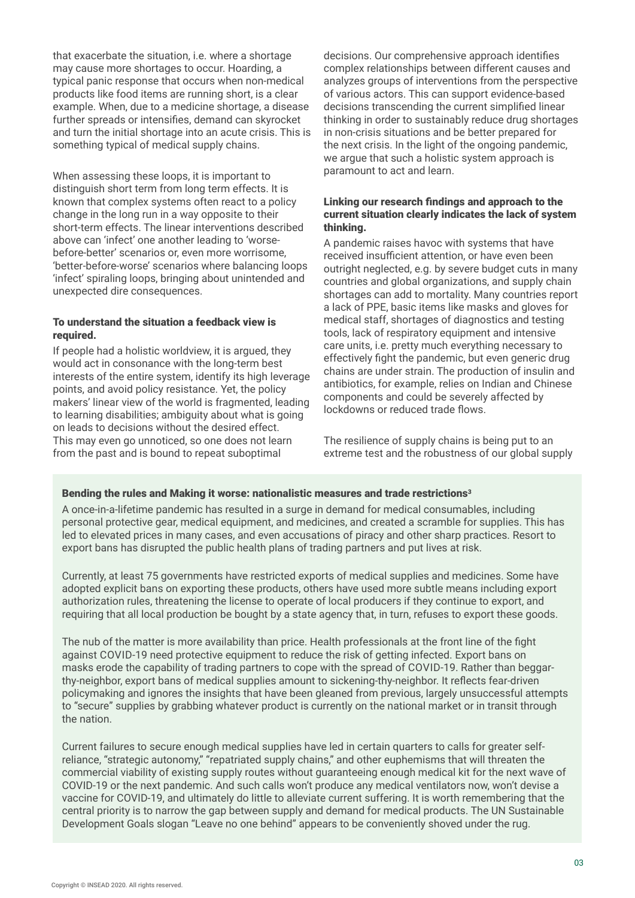that exacerbate the situation, i.e. where a shortage may cause more shortages to occur. Hoarding, a typical panic response that occurs when non-medical products like food items are running short, is a clear example. When, due to a medicine shortage, a disease further spreads or intensifies, demand can skyrocket and turn the initial shortage into an acute crisis. This is something typical of medical supply chains.

When assessing these loops, it is important to distinguish short term from long term effects. It is known that complex systems often react to a policy change in the long run in a way opposite to their short-term effects. The linear interventions described above can 'infect' one another leading to 'worsebefore-better' scenarios or, even more worrisome, 'better-before-worse' scenarios where balancing loops 'infect' spiraling loops, bringing about unintended and unexpected dire consequences.

#### To understand the situation a feedback view is required.

If people had a holistic worldview, it is argued, they would act in consonance with the long-term best interests of the entire system, identify its high leverage points, and avoid policy resistance. Yet, the policy makers' linear view of the world is fragmented, leading to learning disabilities; ambiguity about what is going on leads to decisions without the desired effect. This may even go unnoticed, so one does not learn from the past and is bound to repeat suboptimal

decisions. Our comprehensive approach identifies complex relationships between different causes and analyzes groups of interventions from the perspective of various actors. This can support evidence-based decisions transcending the current simplified linear thinking in order to sustainably reduce drug shortages in non-crisis situations and be better prepared for the next crisis. In the light of the ongoing pandemic, we argue that such a holistic system approach is paramount to act and learn.

## Linking our research findings and approach to the current situation clearly indicates the lack of system thinking.

A pandemic raises havoc with systems that have received insufficient attention, or have even been outright neglected, e.g. by severe budget cuts in many countries and global organizations, and supply chain shortages can add to mortality. Many countries report a lack of PPE, basic items like masks and gloves for medical staff, shortages of diagnostics and testing tools, lack of respiratory equipment and intensive care units, i.e. pretty much everything necessary to effectively fight the pandemic, but even generic drug chains are under strain. The production of insulin and antibiotics, for example, relies on Indian and Chinese components and could be severely affected by lockdowns or reduced trade flows.

The resilience of supply chains is being put to an extreme test and the robustness of our global supply

## Bending the rules and Making it worse: nationalistic measures and trade restrictions<sup>3</sup>

A once-in-a-lifetime pandemic has resulted in a surge in demand for medical consumables, including personal protective gear, medical equipment, and medicines, and created a scramble for supplies. This has led to elevated prices in many cases, and even accusations of piracy and other sharp practices. Resort to export bans has disrupted the public health plans of trading partners and put lives at risk.

Currently, at least 75 governments have restricted exports of medical supplies and medicines. Some have adopted explicit bans on exporting these products, others have used more subtle means including export authorization rules, threatening the license to operate of local producers if they continue to export, and requiring that all local production be bought by a state agency that, in turn, refuses to export these goods.

The nub of the matter is more availability than price. Health professionals at the front line of the fight against COVID-19 need protective equipment to reduce the risk of getting infected. Export bans on masks erode the capability of trading partners to cope with the spread of COVID-19. Rather than beggarthy-neighbor, export bans of medical supplies amount to sickening-thy-neighbor. It reflects fear-driven policymaking and ignores the insights that have been gleaned from previous, largely unsuccessful attempts to "secure" supplies by grabbing whatever product is currently on the national market or in transit through the nation.

Current failures to secure enough medical supplies have led in certain quarters to calls for greater selfreliance, "strategic autonomy," "repatriated supply chains," and other euphemisms that will threaten the commercial viability of existing supply routes without guaranteeing enough medical kit for the next wave of COVID-19 or the next pandemic. And such calls won't produce any medical ventilators now, won't devise a vaccine for COVID-19, and ultimately do little to alleviate current suffering. It is worth remembering that the central priority is to narrow the gap between supply and demand for medical products. The UN Sustainable Development Goals slogan "Leave no one behind" appears to be conveniently shoved under the rug.